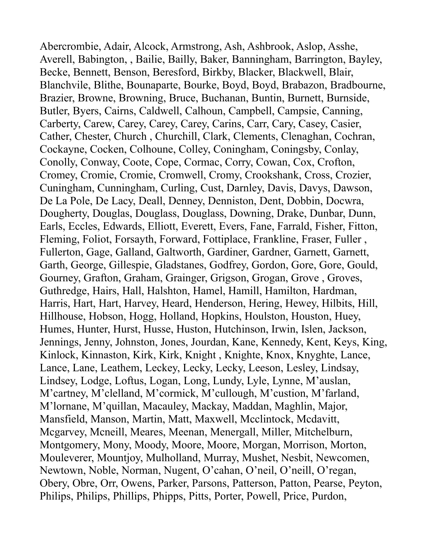Abercrombie, Adair, Alcock, Armstrong, Ash, Ashbrook, Aslop, Asshe, Averell, Babington, , Bailie, Bailly, Baker, Banningham, Barrington, Bayley, Becke, Bennett, Benson, Beresford, Birkby, Blacker, Blackwell, Blair, Blanchvile, Blithe, Bounaparte, Bourke, Boyd, Boyd, Brabazon, Bradbourne, Brazier, Browne, Browning, Bruce, Buchanan, Buntin, Burnett, Burnside, Butler, Byers, Cairns, Caldwell, Calhoun, Campbell, Campsie, Canning, Carberty, Carew, Carey, Carey, Carey, Carins, Carr, Cary, Casey, Casier, Cather, Chester, Church , Churchill, Clark, Clements, Clenaghan, Cochran, Cockayne, Cocken, Colhoune, Colley, Coningham, Coningsby, Conlay, Conolly, Conway, Coote, Cope, Cormac, Corry, Cowan, Cox, Crofton, Cromey, Cromie, Cromie, Cromwell, Cromy, Crookshank, Cross, Crozier, Cuningham, Cunningham, Curling, Cust, Darnley, Davis, Davys, Dawson, De La Pole, De Lacy, Deall, Denney, Denniston, Dent, Dobbin, Docwra, Dougherty, Douglas, Douglass, Douglass, Downing, Drake, Dunbar, Dunn, Earls, Eccles, Edwards, Elliott, Everett, Evers, Fane, Farrald, Fisher, Fitton, Fleming, Foliot, Forsayth, Forward, Fottiplace, Frankline, Fraser, Fuller , Fullerton, Gage, Galland, Galtworth, Gardiner, Gardner, Garnett, Garnett, Garth, George, Gillespie, Gladstanes, Godfrey, Gordon, Gore, Gore, Gould, Gourney, Grafton, Graham, Grainger, Grigson, Grogan, Grove , Groves, Guthredge, Hairs, Hall, Halshton, Hamel, Hamill, Hamilton, Hardman, Harris, Hart, Hart, Harvey, Heard, Henderson, Hering, Hewey, Hilbits, Hill, Hillhouse, Hobson, Hogg, Holland, Hopkins, Houlston, Houston, Huey, Humes, Hunter, Hurst, Husse, Huston, Hutchinson, Irwin, Islen, Jackson, Jennings, Jenny, Johnston, Jones, Jourdan, Kane, Kennedy, Kent, Keys, King, Kinlock, Kinnaston, Kirk, Kirk, Knight , Knighte, Knox, Knyghte, Lance, Lance, Lane, Leathem, Leckey, Lecky, Lecky, Leeson, Lesley, Lindsay, Lindsey, Lodge, Loftus, Logan, Long, Lundy, Lyle, Lynne, M'auslan, M'cartney, M'clelland, M'cormick, M'cullough, M'custion, M'farland, M'lornane, M'quillan, Macauley, Mackay, Maddan, Maghlin, Major, Mansfield, Manson, Martin, Matt, Maxwell, Mcclintock, Mcdavitt, Mcgarvey, Mcneill, Meares, Meenan, Menergall, Miller, Mitchelburn, Montgomery, Mony, Moody, Moore, Moore, Morgan, Morrison, Morton, Mouleverer, Mountjoy, Mulholland, Murray, Mushet, Nesbit, Newcomen, Newtown, Noble, Norman, Nugent, O'cahan, O'neil, O'neill, O'regan, Obery, Obre, Orr, Owens, Parker, Parsons, Patterson, Patton, Pearse, Peyton, Philips, Philips, Phillips, Phipps, Pitts, Porter, Powell, Price, Purdon,